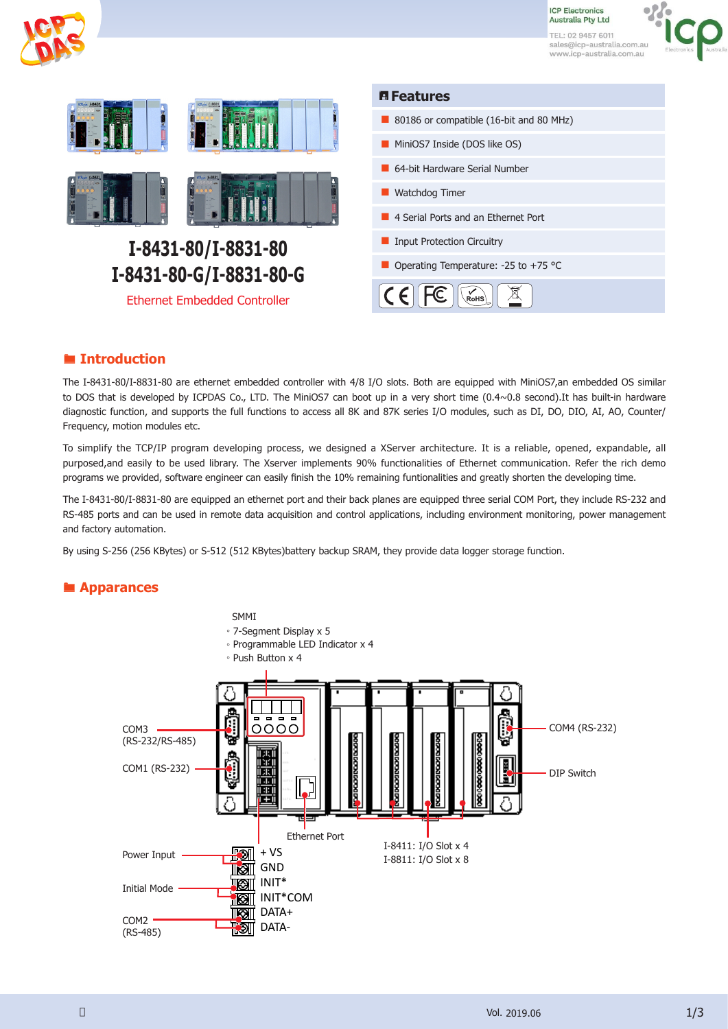

¯**Features** 80186 or compatible (16-bit and 80 MHz) **MiniOS7 Inside (DOS like OS)** 64-bit Hardware Serial Number **Watchdog Timer 4 Serial Ports and an Ethernet Port Input Protection Circuitry I-8431-80/I-8831-80** ■ Operating Temperature: -25 to +75 °C **I-8431-80-G/I-8831-80-G**  $\|C\in\|$  $\widehat{\mathsf{Rohs}}$ **HC**  $\boxtimes$ Ethernet Embedded Controller

**ICP Electronics** Australia Pty Ltd TEL: 02 9457 6011 sales@icp-australia.com.au www.icp-australia.com.au

#### ® **Introduction**

The I-8431-80/I-8831-80 are ethernet embedded controller with 4/8 I/O slots. Both are equipped with MiniOS7,an embedded OS similar to DOS that is developed by ICPDAS Co., LTD. The MiniOS7 can boot up in a very short time (0.4~0.8 second).It has built-in hardware diagnostic function, and supports the full functions to access all 8K and 87K series I/O modules, such as DI, DO, DIO, AI, AO, Counter/ Frequency, motion modules etc.

To simplify the TCP/IP program developing process, we designed a XServer architecture. It is a reliable, opened, expandable, all purposed,and easily to be used library. The Xserver implements 90% functionalities of Ethernet communication. Refer the rich demo programs we provided, software engineer can easily finish the 10% remaining funtionalities and greatly shorten the developing time.

The I-8431-80/I-8831-80 are equipped an ethernet port and their back planes are equipped three serial COM Port, they include RS-232 and RS-485 ports and can be used in remote data acquisition and control applications, including environment monitoring, power management and factory automation.

By using S-256 (256 KBytes) or S-512 (512 KBytes)battery backup SRAM, they provide data logger storage function.



### ® **Apparances**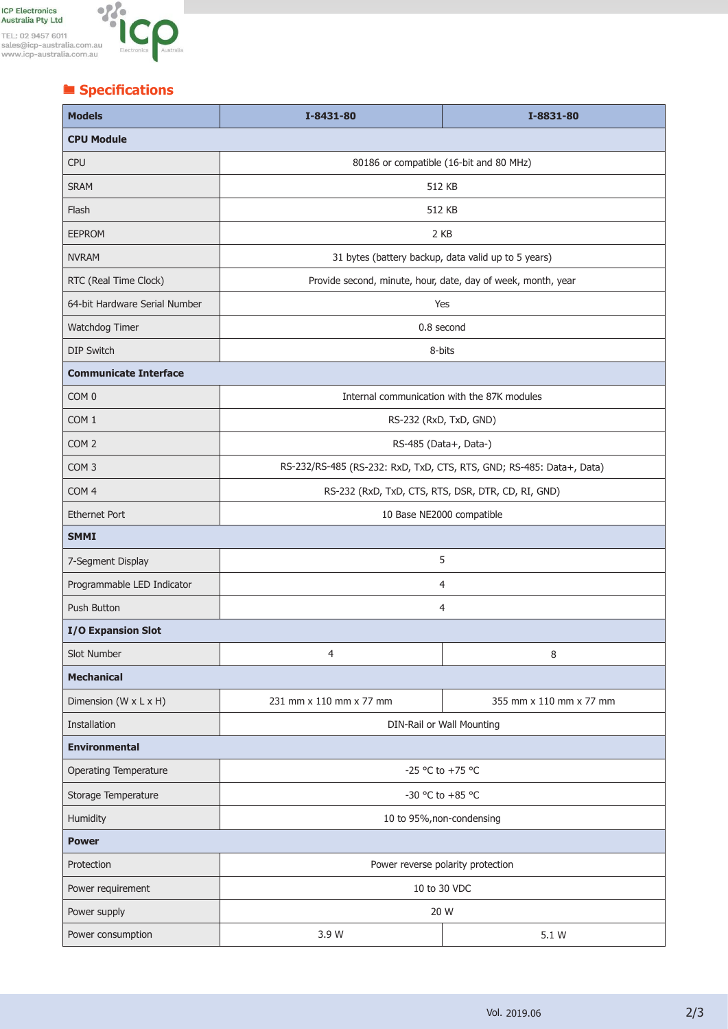

# ® **Specifications**

| <b>Models</b>                       | I-8431-80                                                            | I-8831-80               |  |
|-------------------------------------|----------------------------------------------------------------------|-------------------------|--|
| <b>CPU Module</b>                   |                                                                      |                         |  |
| <b>CPU</b>                          | 80186 or compatible (16-bit and 80 MHz)                              |                         |  |
| <b>SRAM</b>                         | 512 KB                                                               |                         |  |
| Flash                               | 512 KB                                                               |                         |  |
| <b>EEPROM</b>                       | 2 KB                                                                 |                         |  |
| <b>NVRAM</b>                        | 31 bytes (battery backup, data valid up to 5 years)                  |                         |  |
| RTC (Real Time Clock)               | Provide second, minute, hour, date, day of week, month, year         |                         |  |
| 64-bit Hardware Serial Number       | Yes                                                                  |                         |  |
| Watchdog Timer                      | 0.8 second                                                           |                         |  |
| <b>DIP Switch</b>                   | 8-bits                                                               |                         |  |
| <b>Communicate Interface</b>        |                                                                      |                         |  |
| COM <sub>0</sub>                    | Internal communication with the 87K modules                          |                         |  |
| COM <sub>1</sub>                    | RS-232 (RxD, TxD, GND)                                               |                         |  |
| COM <sub>2</sub>                    | RS-485 (Data+, Data-)                                                |                         |  |
| COM <sub>3</sub>                    | RS-232/RS-485 (RS-232: RxD, TxD, CTS, RTS, GND; RS-485: Data+, Data) |                         |  |
| COM <sub>4</sub>                    | RS-232 (RxD, TxD, CTS, RTS, DSR, DTR, CD, RI, GND)                   |                         |  |
| <b>Ethernet Port</b>                | 10 Base NE2000 compatible                                            |                         |  |
| <b>SMMI</b>                         |                                                                      |                         |  |
| 7-Segment Display                   | 5                                                                    |                         |  |
| Programmable LED Indicator          | 4                                                                    |                         |  |
| Push Button                         | 4                                                                    |                         |  |
| <b>I/O Expansion Slot</b>           |                                                                      |                         |  |
| Slot Number                         | 4                                                                    | 8                       |  |
| <b>Mechanical</b>                   |                                                                      |                         |  |
| Dimension ( $W \times L \times H$ ) | 231 mm x 110 mm x 77 mm                                              | 355 mm x 110 mm x 77 mm |  |
| Installation                        | DIN-Rail or Wall Mounting                                            |                         |  |
| <b>Environmental</b>                |                                                                      |                         |  |
| Operating Temperature               | -25 °C to +75 °C                                                     |                         |  |
| Storage Temperature                 | -30 °C to +85 °C                                                     |                         |  |
| Humidity                            | 10 to 95%, non-condensing                                            |                         |  |
| <b>Power</b>                        |                                                                      |                         |  |
| Protection                          | Power reverse polarity protection                                    |                         |  |
| Power requirement                   | 10 to 30 VDC                                                         |                         |  |
| Power supply                        | 20 W                                                                 |                         |  |
| Power consumption                   | 3.9 W                                                                | 5.1 W                   |  |